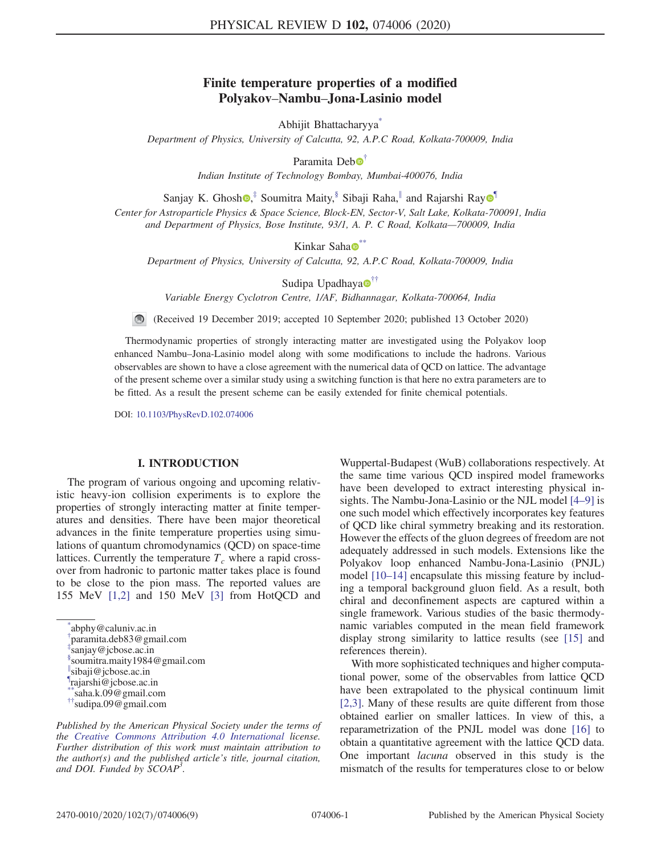# Finite temperature properties of a modified Polyakov–Nambu–Jona-Lasinio model

Abhijit Bhattacharyya\*

Department of Physics, University of Calcutta, 92, A.P.C Road, Kolkata-700009, India

Paramita Deb<sup>®</sup>

Indian Institute of Technology Bombay, Mumbai-400076, India

Sanjay K. Ghosh<sup>®</sup>,<sup>‡</sup> Soumitra Maity,<sup>§</sup> Sibaji Raha,<sup>∥</sup> and Rajarshi Ray®<sup>1</sup>

Center for Astroparticle Physics & Space Science, Block-EN, Sector-V, Salt Lake, Kolkata-700091, India and Department of Physics, Bose Institute, 93/1, A. P. C Road, Kolkata—700009, India

Kinkar Saha $\bullet$ \*\*

Department of Physics, University of Calcutta, 92, A.P.C Road, Kolkata-700009, India

Sudipa Upadhaya $\mathbf{\Theta}^{\dagger\dagger}$ 

Variable Energy Cyclotron Centre, 1/AF, Bidhannagar, Kolkata-700064, India

(Received 19 December 2019; accepted 10 September 2020; published 13 October 2020)

Thermodynamic properties of strongly interacting matter are investigated using the Polyakov loop enhanced Nambu–Jona-Lasinio model along with some modifications to include the hadrons. Various observables are shown to have a close agreement with the numerical data of QCD on lattice. The advantage of the present scheme over a similar study using a switching function is that here no extra parameters are to be fitted. As a result the present scheme can be easily extended for finite chemical potentials.

DOI: 10.1103/PhysRevD.102.074006

## I. INTRODUCTION

The program of various ongoing and upcoming relativistic heavy-ion collision experiments is to explore the properties of strongly interacting matter at finite temperatures and densities. There have been major theoretical advances in the finite temperature properties using simulations of quantum chromodynamics (QCD) on space-time lattices. Currently the temperature  $T_c$  where a rapid crossover from hadronic to partonic matter takes place is found to be close to the pion mass. The reported values are 155 MeV [1,2] and 150 MeV [3] from HotQCD and

Published by the American Physical Society under the terms of the Creative Commons Attribution 4.0 International license. Further distribution of this work must maintain attribution to the author(s) and the published article's title, journal citation, and DOI. Funded by  $\dot{S}COAP^3$ .

Wuppertal-Budapest (WuB) collaborations respectively. At the same time various QCD inspired model frameworks have been developed to extract interesting physical insights. The Nambu-Jona-Lasinio or the NJL model [4–9] is one such model which effectively incorporates key features of QCD like chiral symmetry breaking and its restoration. However the effects of the gluon degrees of freedom are not adequately addressed in such models. Extensions like the Polyakov loop enhanced Nambu-Jona-Lasinio (PNJL) model [10–14] encapsulate this missing feature by including a temporal background gluon field. As a result, both chiral and deconfinement aspects are captured within a single framework. Various studies of the basic thermodynamic variables computed in the mean field framework display strong similarity to lattice results (see [15] and references therein).

With more sophisticated techniques and higher computational power, some of the observables from lattice QCD have been extrapolated to the physical continuum limit [2,3]. Many of these results are quite different from those obtained earlier on smaller lattices. In view of this, a reparametrization of the PNJL model was done [16] to obtain a quantitative agreement with the lattice QCD data. One important lacuna observed in this study is the mismatch of the results for temperatures close to or below

<sup>\*</sup> abphy@caluniv.ac.in

<sup>†</sup> paramita.deb83@gmail.com

<sup>‡</sup> sanjay@jcbose.ac.in

<sup>§</sup> soumitra.maity1984@gmail.com

<sup>∥</sup> sibaji@jcbose.ac.in

<sup>¶</sup> rajarshi@jcbose.ac.in

saha.k.09@gmail.com

<sup>††</sup>sudipa.09@gmail.com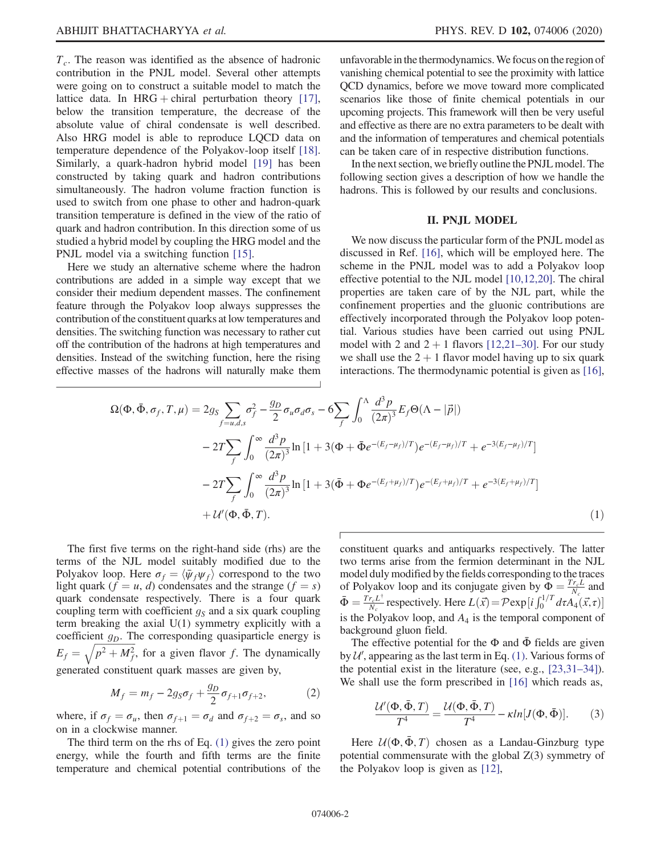$T_c$ . The reason was identified as the absence of hadronic contribution in the PNJL model. Several other attempts were going on to construct a suitable model to match the lattice data. In HRG + chiral perturbation theory [17], below the transition temperature, the decrease of the absolute value of chiral condensate is well described. Also HRG model is able to reproduce LQCD data on temperature dependence of the Polyakov-loop itself [18]. Similarly, a quark-hadron hybrid model [19] has been constructed by taking quark and hadron contributions simultaneously. The hadron volume fraction function is used to switch from one phase to other and hadron-quark transition temperature is defined in the view of the ratio of quark and hadron contribution. In this direction some of us studied a hybrid model by coupling the HRG model and the PNJL model via a switching function [15].

Here we study an alternative scheme where the hadron contributions are added in a simple way except that we consider their medium dependent masses. The confinement feature through the Polyakov loop always suppresses the contribution of the constituent quarks at low temperatures and densities. The switching function was necessary to rather cut off the contribution of the hadrons at high temperatures and densities. Instead of the switching function, here the rising effective masses of the hadrons will naturally make them unfavorable in the thermodynamics.We focus on the region of vanishing chemical potential to see the proximity with lattice QCD dynamics, before we move toward more complicated scenarios like those of finite chemical potentials in our upcoming projects. This framework will then be very useful and effective as there are no extra parameters to be dealt with and the information of temperatures and chemical potentials can be taken care of in respective distribution functions.

In the next section, we briefly outline the PNJL model. The following section gives a description of how we handle the hadrons. This is followed by our results and conclusions.

#### II. PNJL MODEL

We now discuss the particular form of the PNJL model as discussed in Ref. [16], which will be employed here. The scheme in the PNJL model was to add a Polyakov loop effective potential to the NJL model [10,12,20]. The chiral properties are taken care of by the NJL part, while the confinement properties and the gluonic contributions are effectively incorporated through the Polyakov loop potential. Various studies have been carried out using PNJL model with 2 and  $2 + 1$  flavors [12,21–30]. For our study we shall use the  $2 + 1$  flavor model having up to six quark interactions. The thermodynamic potential is given as [16],

$$
\Omega(\Phi, \bar{\Phi}, \sigma_f, T, \mu) = 2g_S \sum_{f=u,d,s} \sigma_f^2 - \frac{g_D}{2} \sigma_u \sigma_d \sigma_s - 6 \sum_f \int_0^{\Lambda} \frac{d^3 p}{(2\pi)^3} E_f \Theta(\Lambda - |\vec{p}|)
$$
  

$$
- 2T \sum_f \int_0^{\infty} \frac{d^3 p}{(2\pi)^3} \ln\left[1 + 3(\Phi + \bar{\Phi}e^{-(E_f - \mu_f)/T})e^{-(E_f - \mu_f)/T} + e^{-3(E_f - \mu_f)/T}\right]
$$
  

$$
- 2T \sum_f \int_0^{\infty} \frac{d^3 p}{(2\pi)^3} \ln\left[1 + 3(\bar{\Phi} + \Phi e^{-(E_f + \mu_f)/T})e^{-(E_f + \mu_f)/T} + e^{-3(E_f + \mu_f)/T}\right]
$$
  

$$
+ \mathcal{U}'(\Phi, \bar{\Phi}, T). \tag{1}
$$

The first five terms on the right-hand side (rhs) are the terms of the NJL model suitably modified due to the Polyakov loop. Here  $\sigma_f = \langle \bar{\psi}_f \psi_f \rangle$  correspond to the two light quark ( $f = u$ , d) condensates and the strange ( $f = s$ ) quark condensate respectively. There is a four quark coupling term with coefficient  $g<sub>S</sub>$  and a six quark coupling term breaking the axial U(1) symmetry explicitly with a coefficient  $g_D$ . The corresponding quasiparticle energy is  $E_f = \sqrt{p^2 + M_f^2}$ , for a given flavor f. The dynamically generated constituent quark masses are given by,

$$
M_f = m_f - 2g_S \sigma_f + \frac{g_D}{2} \sigma_{f+1} \sigma_{f+2}, \qquad (2)
$$

where, if  $\sigma_f = \sigma_u$ , then  $\sigma_{f+1} = \sigma_d$  and  $\sigma_{f+2} = \sigma_s$ , and so on in a clockwise manner.

The third term on the rhs of Eq. (1) gives the zero point energy, while the fourth and fifth terms are the finite temperature and chemical potential contributions of the constituent quarks and antiquarks respectively. The latter two terms arise from the fermion determinant in the NJL model duly modified by the fields corresponding to the traces of Polyakov loop and its conjugate given by  $\Phi = \frac{Tr_c L}{N}$  $\frac{r_c L}{N_c}$  and  $\bar{\Phi} = \frac{Tr_c L^{\dagger}}{N}$  $\frac{r_c L^{\dagger}}{N_c}$  respectively. Here  $L(\vec{x}) = \mathcal{P} \exp[i \int_0^{1/T} d\tau A_4(\vec{x}, \tau)]$ is the Polyakov loop, and  $A_4$  is the temporal component of background gluon field.

The effective potential for the  $\Phi$  and  $\bar{\Phi}$  fields are given by  $\mathcal{U}'$ , appearing as the last term in Eq. (1). Various forms of the potential exist in the literature (see, e.g., [23,31–34]). We shall use the form prescribed in [16] which reads as,

$$
\frac{\mathcal{U}'(\Phi,\bar{\Phi},T)}{T^4} = \frac{\mathcal{U}(\Phi,\bar{\Phi},T)}{T^4} - \kappa \ln[J(\Phi,\bar{\Phi})].
$$
 (3)

Here  $U(\Phi, \bar{\Phi}, T)$  chosen as a Landau-Ginzburg type potential commensurate with the global Z(3) symmetry of the Polyakov loop is given as [12],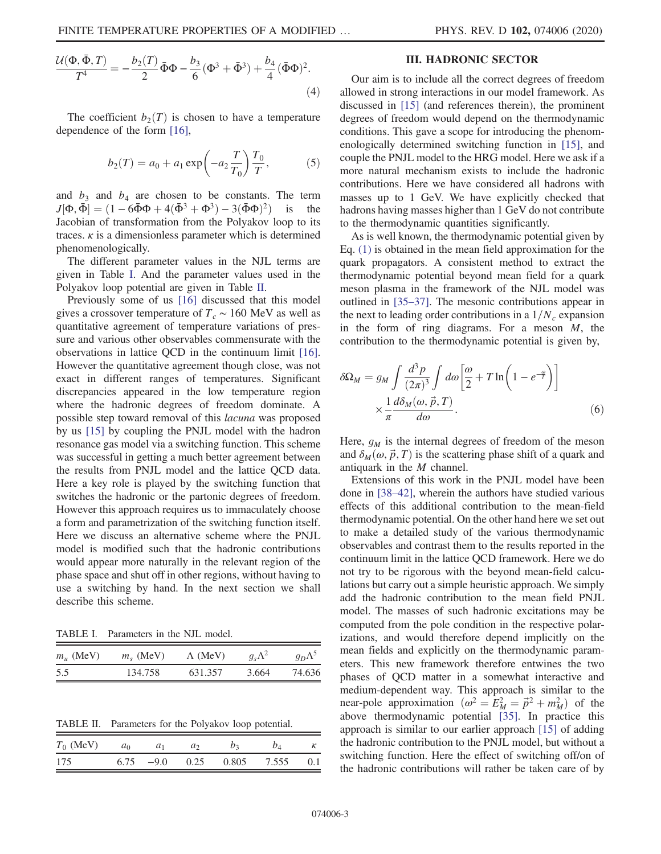$$
\frac{\mathcal{U}(\Phi, \bar{\Phi}, T)}{T^4} = -\frac{b_2(T)}{2} \bar{\Phi}\Phi - \frac{b_3}{6} (\Phi^3 + \bar{\Phi}^3) + \frac{b_4}{4} (\bar{\Phi}\Phi)^2.
$$
\n(4)

The coefficient  $b_2(T)$  is chosen to have a temperature dependence of the form [16],

$$
b_2(T) = a_0 + a_1 \exp\left(-a_2 \frac{T}{T_0}\right) \frac{T_0}{T},
$$
 (5)

and  $b_3$  and  $b_4$  are chosen to be constants. The term  $J[\Phi, \bar{\Phi}] = (1 - 6\bar{\Phi}\Phi + 4(\bar{\Phi}^3 + \Phi^3) - 3(\bar{\Phi}\Phi)^2)$ is the Jacobian of transformation from the Polyakov loop to its traces.  $\kappa$  is a dimensionless parameter which is determined phenomenologically.

The different parameter values in the NJL terms are given in Table I. And the parameter values used in the Polyakov loop potential are given in Table II.

Previously some of us [16] discussed that this model gives a crossover temperature of  $T_c \sim 160$  MeV as well as quantitative agreement of temperature variations of pressure and various other observables commensurate with the observations in lattice QCD in the continuum limit [16]. However the quantitative agreement though close, was not exact in different ranges of temperatures. Significant discrepancies appeared in the low temperature region where the hadronic degrees of freedom dominate. A possible step toward removal of this lacuna was proposed by us [15] by coupling the PNJL model with the hadron resonance gas model via a switching function. This scheme was successful in getting a much better agreement between the results from PNJL model and the lattice QCD data. Here a key role is played by the switching function that switches the hadronic or the partonic degrees of freedom. However this approach requires us to immaculately choose a form and parametrization of the switching function itself. Here we discuss an alternative scheme where the PNJL model is modified such that the hadronic contributions would appear more naturally in the relevant region of the phase space and shut off in other regions, without having to use a switching by hand. In the next section we shall describe this scheme.

TABLE I. Parameters in the NJL model.

| $m_{\mu}$ (MeV) | $m_s$ (MeV) | $\Lambda$ (MeV) | $q_s \Lambda^2$ | $q_D\Lambda^3$ |
|-----------------|-------------|-----------------|-----------------|----------------|
| 5.5             | 134.758     | 631.357         | 3.664           | 74.636         |

TABLE II. Parameters for the Polyakov loop potential.

| $T_0$ (MeV) $a_0$ | a <sub>1</sub> | a <sub>2</sub> | $D_2$ |                                          |  |
|-------------------|----------------|----------------|-------|------------------------------------------|--|
| 175               |                |                |       | $6.75 -9.0$ $0.25$ $0.805$ $7.555$ $0.1$ |  |

## III. HADRONIC SECTOR

Our aim is to include all the correct degrees of freedom allowed in strong interactions in our model framework. As discussed in [15] (and references therein), the prominent degrees of freedom would depend on the thermodynamic conditions. This gave a scope for introducing the phenomenologically determined switching function in [15], and couple the PNJL model to the HRG model. Here we ask if a more natural mechanism exists to include the hadronic contributions. Here we have considered all hadrons with masses up to 1 GeV. We have explicitly checked that hadrons having masses higher than 1 GeV do not contribute to the thermodynamic quantities significantly.

As is well known, the thermodynamic potential given by Eq. (1) is obtained in the mean field approximation for the quark propagators. A consistent method to extract the thermodynamic potential beyond mean field for a quark meson plasma in the framework of the NJL model was outlined in [35–37]. The mesonic contributions appear in the next to leading order contributions in a  $1/N_c$  expansion in the form of ring diagrams. For a meson  $M$ , the contribution to the thermodynamic potential is given by,

$$
\delta\Omega_M = g_M \int \frac{d^3 p}{(2\pi)^3} \int d\omega \left[ \frac{\omega}{2} + T \ln \left( 1 - e^{-\frac{\omega}{T}} \right) \right]
$$

$$
\times \frac{1}{\pi} \frac{d\delta_M(\omega, \vec{p}, T)}{d\omega}.
$$
(6)

Here,  $g_M$  is the internal degrees of freedom of the meson and  $\delta_M(\omega, \vec{p}, T)$  is the scattering phase shift of a quark and antiquark in the M channel.

Extensions of this work in the PNJL model have been done in [38–42], wherein the authors have studied various effects of this additional contribution to the mean-field thermodynamic potential. On the other hand here we set out to make a detailed study of the various thermodynamic observables and contrast them to the results reported in the continuum limit in the lattice QCD framework. Here we do not try to be rigorous with the beyond mean-field calculations but carry out a simple heuristic approach. We simply add the hadronic contribution to the mean field PNJL model. The masses of such hadronic excitations may be computed from the pole condition in the respective polarizations, and would therefore depend implicitly on the mean fields and explicitly on the thermodynamic parameters. This new framework therefore entwines the two phases of QCD matter in a somewhat interactive and medium-dependent way. This approach is similar to the near-pole approximation  $(\omega^2 = E_M^2 = \vec{p}^2 + m_M^2)$  of the above thermodynamic potential [35]. In practice this approach is similar to our earlier approach [15] of adding the hadronic contribution to the PNJL model, but without a switching function. Here the effect of switching off/on of the hadronic contributions will rather be taken care of by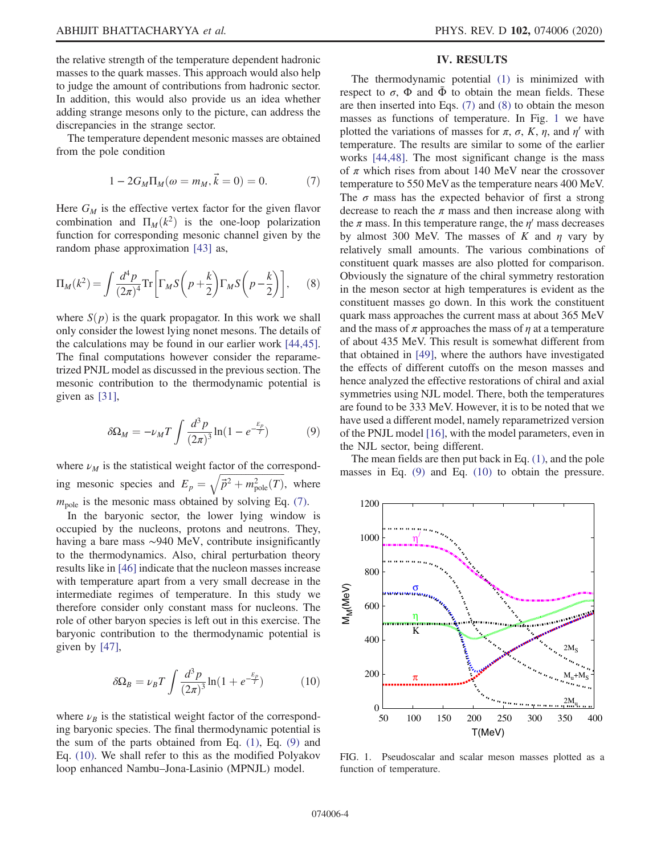the relative strength of the temperature dependent hadronic masses to the quark masses. This approach would also help to judge the amount of contributions from hadronic sector. In addition, this would also provide us an idea whether adding strange mesons only to the picture, can address the discrepancies in the strange sector.

The temperature dependent mesonic masses are obtained from the pole condition

$$
1 - 2G_M \Pi_M(\omega = m_M, \vec{k} = 0) = 0.
$$
 (7)

Here  $G_M$  is the effective vertex factor for the given flavor combination and  $\Pi_M(k^2)$  is the one-loop polarization function for corresponding mesonic channel given by the random phase approximation [43] as,

$$
\Pi_M(k^2) = \int \frac{d^4 p}{(2\pi)^4} \text{Tr} \left[ \Gamma_M S \left( p + \frac{k}{2} \right) \Gamma_M S \left( p - \frac{k}{2} \right) \right],\tag{8}
$$

where  $S(p)$  is the quark propagator. In this work we shall only consider the lowest lying nonet mesons. The details of the calculations may be found in our earlier work [44,45]. The final computations however consider the reparametrized PNJL model as discussed in the previous section. The mesonic contribution to the thermodynamic potential is given as [31],

$$
\delta\Omega_M = -\nu_M T \int \frac{d^3 p}{(2\pi)^3} \ln(1 - e^{-\frac{E_p}{T}})
$$
(9)

where  $\nu_M$  is the statistical weight factor of the corresponding mesonic species and  $E_p = \sqrt{\vec{p}^2 + m_{\text{pole}}^2(T)}$ , where  $m_{pole}$  is the mesonic mass obtained by solving Eq. (7).

In the baryonic sector, the lower lying window is occupied by the nucleons, protons and neutrons. They, having a bare mass ∼940 MeV, contribute insignificantly to the thermodynamics. Also, chiral perturbation theory results like in [46] indicate that the nucleon masses increase with temperature apart from a very small decrease in the intermediate regimes of temperature. In this study we therefore consider only constant mass for nucleons. The role of other baryon species is left out in this exercise. The baryonic contribution to the thermodynamic potential is given by [47],

$$
\delta\Omega_B = \nu_B T \int \frac{d^3 p}{(2\pi)^3} \ln(1 + e^{-\frac{E_p}{T}})
$$
 (10)

where  $\nu_B$  is the statistical weight factor of the corresponding baryonic species. The final thermodynamic potential is the sum of the parts obtained from Eq.  $(1)$ , Eq.  $(9)$  and Eq. (10). We shall refer to this as the modified Polyakov loop enhanced Nambu–Jona-Lasinio (MPNJL) model.

#### IV. RESULTS

The thermodynamic potential (1) is minimized with respect to  $\sigma$ ,  $\Phi$  and  $\bar{\Phi}$  to obtain the mean fields. These are then inserted into Eqs. (7) and (8) to obtain the meson masses as functions of temperature. In Fig. 1 we have plotted the variations of masses for  $\pi$ ,  $\sigma$ ,  $K$ ,  $\eta$ , and  $\eta'$  with temperature. The results are similar to some of the earlier works [44,48]. The most significant change is the mass of  $\pi$  which rises from about 140 MeV near the crossover temperature to 550 MeV as the temperature nears 400 MeV. The  $\sigma$  mass has the expected behavior of first a strong decrease to reach the  $\pi$  mass and then increase along with the  $\pi$  mass. In this temperature range, the  $\eta'$  mass decreases by almost 300 MeV. The masses of K and  $\eta$  vary by relatively small amounts. The various combinations of constituent quark masses are also plotted for comparison. Obviously the signature of the chiral symmetry restoration in the meson sector at high temperatures is evident as the constituent masses go down. In this work the constituent quark mass approaches the current mass at about 365 MeV and the mass of  $\pi$  approaches the mass of  $\eta$  at a temperature of about 435 MeV. This result is somewhat different from that obtained in [49], where the authors have investigated the effects of different cutoffs on the meson masses and hence analyzed the effective restorations of chiral and axial symmetries using NJL model. There, both the temperatures are found to be 333 MeV. However, it is to be noted that we have used a different model, namely reparametrized version of the PNJL model [16], with the model parameters, even in the NJL sector, being different.

The mean fields are then put back in Eq. (1), and the pole masses in Eq. (9) and Eq. (10) to obtain the pressure.



FIG. 1. Pseudoscalar and scalar meson masses plotted as a function of temperature.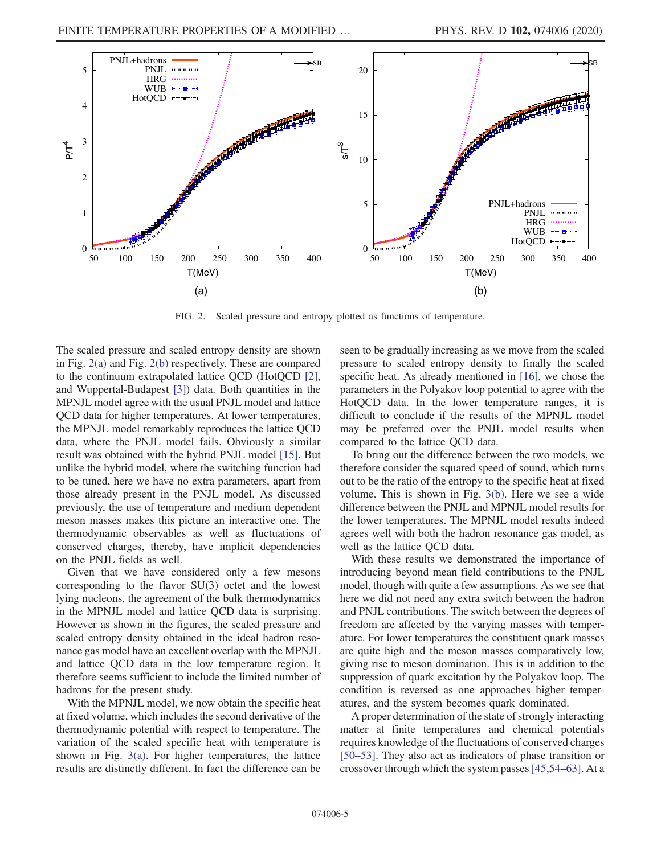

FIG. 2. Scaled pressure and entropy plotted as functions of temperature.

The scaled pressure and scaled entropy density are shown in Fig. 2(a) and Fig. 2(b) respectively. These are compared to the continuum extrapolated lattice QCD (HotQCD [2], and Wuppertal-Budapest [3]) data. Both quantities in the MPNJL model agree with the usual PNJL model and lattice QCD data for higher temperatures. At lower temperatures, the MPNJL model remarkably reproduces the lattice QCD data, where the PNJL model fails. Obviously a similar result was obtained with the hybrid PNJL model [15]. But unlike the hybrid model, where the switching function had to be tuned, here we have no extra parameters, apart from those already present in the PNJL model. As discussed previously, the use of temperature and medium dependent meson masses makes this picture an interactive one. The thermodynamic observables as well as fluctuations of conserved charges, thereby, have implicit dependencies on the PNJL fields as well.

Given that we have considered only a few mesons corresponding to the flavor SU(3) octet and the lowest lying nucleons, the agreement of the bulk thermodynamics in the MPNJL model and lattice QCD data is surprising. However as shown in the figures, the scaled pressure and scaled entropy density obtained in the ideal hadron resonance gas model have an excellent overlap with the MPNJL and lattice QCD data in the low temperature region. It therefore seems sufficient to include the limited number of hadrons for the present study.

With the MPNJL model, we now obtain the specific heat at fixed volume, which includes the second derivative of the thermodynamic potential with respect to temperature. The variation of the scaled specific heat with temperature is shown in Fig. 3(a). For higher temperatures, the lattice results are distinctly different. In fact the difference can be seen to be gradually increasing as we move from the scaled pressure to scaled entropy density to finally the scaled specific heat. As already mentioned in [16], we chose the parameters in the Polyakov loop potential to agree with the HotQCD data. In the lower temperature ranges, it is difficult to conclude if the results of the MPNJL model may be preferred over the PNJL model results when compared to the lattice QCD data.

To bring out the difference between the two models, we therefore consider the squared speed of sound, which turns out to be the ratio of the entropy to the specific heat at fixed volume. This is shown in Fig. 3(b). Here we see a wide difference between the PNJL and MPNJL model results for the lower temperatures. The MPNJL model results indeed agrees well with both the hadron resonance gas model, as well as the lattice QCD data.

With these results we demonstrated the importance of introducing beyond mean field contributions to the PNJL model, though with quite a few assumptions. As we see that here we did not need any extra switch between the hadron and PNJL contributions. The switch between the degrees of freedom are affected by the varying masses with temperature. For lower temperatures the constituent quark masses are quite high and the meson masses comparatively low, giving rise to meson domination. This is in addition to the suppression of quark excitation by the Polyakov loop. The condition is reversed as one approaches higher temperatures, and the system becomes quark dominated.

A proper determination of the state of strongly interacting matter at finite temperatures and chemical potentials requires knowledge of the fluctuations of conserved charges [50–53]. They also act as indicators of phase transition or crossover through which the system passes[45,54–63]. At a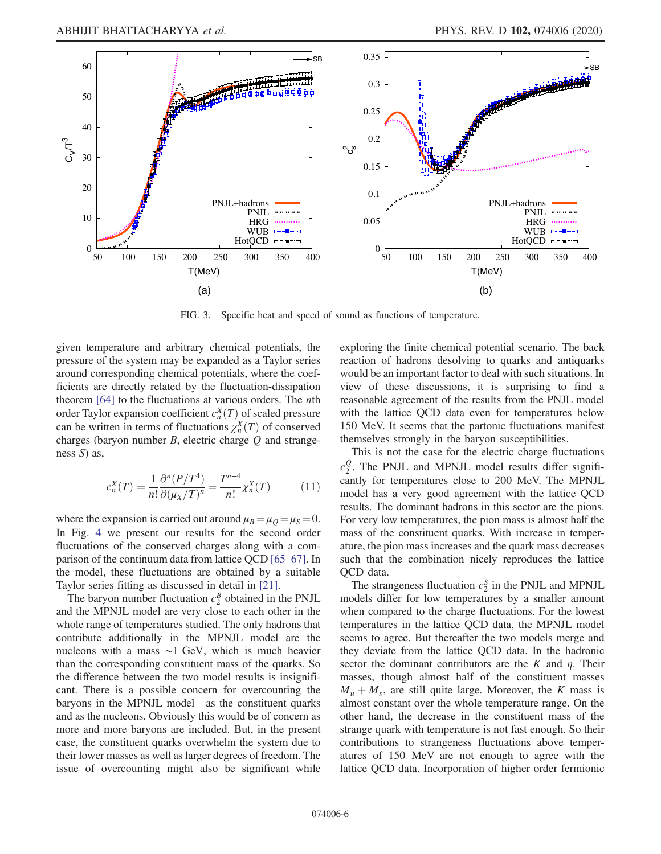

FIG. 3. Specific heat and speed of sound as functions of temperature.

given temperature and arbitrary chemical potentials, the pressure of the system may be expanded as a Taylor series around corresponding chemical potentials, where the coefficients are directly related by the fluctuation-dissipation theorem [64] to the fluctuations at various orders. The nth order Taylor expansion coefficient  $c_n^X(T)$  of scaled pressure can be written in terms of fluctuations  $\chi_n^X(T)$  of conserved charges (baryon number  $B$ , electric charge  $Q$  and strangeness S) as,

$$
c_n^X(T) = \frac{1}{n!} \frac{\partial^n (P/T^4)}{\partial (\mu_X/T)^n} = \frac{T^{n-4}}{n!} \chi_n^X(T) \tag{11}
$$

where the expansion is carried out around  $\mu_B = \mu_O = \mu_S = 0$ . In Fig. 4 we present our results for the second order fluctuations of the conserved charges along with a comparison of the continuum data from lattice QCD [65–67]. In the model, these fluctuations are obtained by a suitable Taylor series fitting as discussed in detail in [21].

The baryon number fluctuation  $c_2^B$  obtained in the PNJL and the MPNJL model are very close to each other in the whole range of temperatures studied. The only hadrons that contribute additionally in the MPNJL model are the nucleons with a mass ∼1 GeV, which is much heavier than the corresponding constituent mass of the quarks. So the difference between the two model results is insignificant. There is a possible concern for overcounting the baryons in the MPNJL model—as the constituent quarks and as the nucleons. Obviously this would be of concern as more and more baryons are included. But, in the present case, the constituent quarks overwhelm the system due to their lower masses as well as larger degrees of freedom. The issue of overcounting might also be significant while exploring the finite chemical potential scenario. The back reaction of hadrons desolving to quarks and antiquarks would be an important factor to deal with such situations. In view of these discussions, it is surprising to find a reasonable agreement of the results from the PNJL model with the lattice QCD data even for temperatures below 150 MeV. It seems that the partonic fluctuations manifest themselves strongly in the baryon susceptibilities.

This is not the case for the electric charge fluctuations  $c_2^Q$ . The PNJL and MPNJL model results differ significantly for temperatures close to 200 MeV. The MPNJL model has a very good agreement with the lattice QCD results. The dominant hadrons in this sector are the pions. For very low temperatures, the pion mass is almost half the mass of the constituent quarks. With increase in temperature, the pion mass increases and the quark mass decreases such that the combination nicely reproduces the lattice QCD data.

The strangeness fluctuation  $c_2^S$  in the PNJL and MPNJL models differ for low temperatures by a smaller amount when compared to the charge fluctuations. For the lowest temperatures in the lattice QCD data, the MPNJL model seems to agree. But thereafter the two models merge and they deviate from the lattice QCD data. In the hadronic sector the dominant contributors are the K and  $\eta$ . Their masses, though almost half of the constituent masses  $M_u + M_s$ , are still quite large. Moreover, the K mass is almost constant over the whole temperature range. On the other hand, the decrease in the constituent mass of the strange quark with temperature is not fast enough. So their contributions to strangeness fluctuations above temperatures of 150 MeV are not enough to agree with the lattice QCD data. Incorporation of higher order fermionic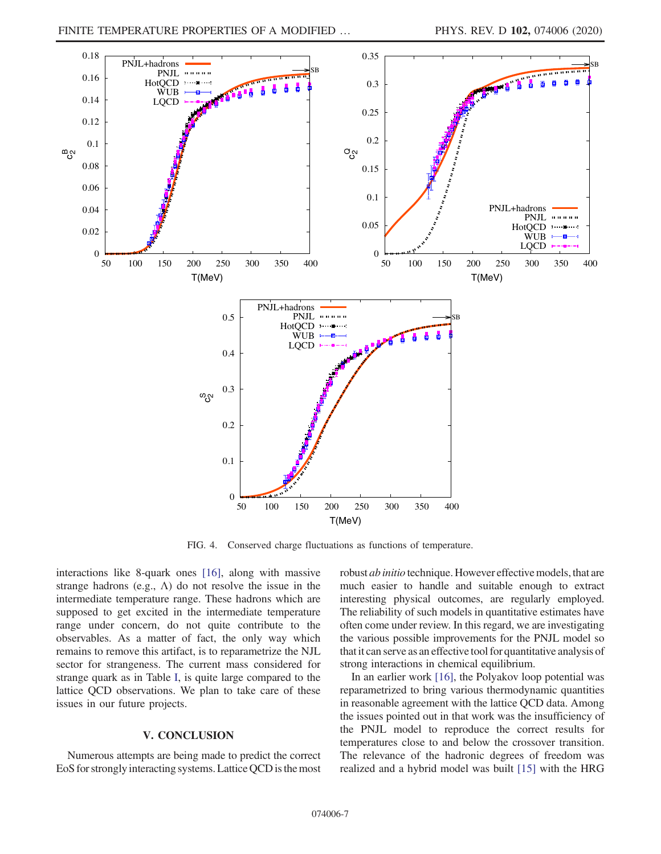

FIG. 4. Conserved charge fluctuations as functions of temperature.

interactions like 8-quark ones [16], along with massive strange hadrons (e.g.,  $\Lambda$ ) do not resolve the issue in the intermediate temperature range. These hadrons which are supposed to get excited in the intermediate temperature range under concern, do not quite contribute to the observables. As a matter of fact, the only way which remains to remove this artifact, is to reparametrize the NJL sector for strangeness. The current mass considered for strange quark as in Table I, is quite large compared to the lattice QCD observations. We plan to take care of these issues in our future projects.

## V. CONCLUSION

Numerous attempts are being made to predict the correct EoS for strongly interacting systems. Lattice QCD is the most robust ab initio technique. However effective models, that are much easier to handle and suitable enough to extract interesting physical outcomes, are regularly employed. The reliability of such models in quantitative estimates have often come under review. In this regard, we are investigating the various possible improvements for the PNJL model so that it can serve as an effective tool for quantitative analysis of strong interactions in chemical equilibrium.

In an earlier work [16], the Polyakov loop potential was reparametrized to bring various thermodynamic quantities in reasonable agreement with the lattice QCD data. Among the issues pointed out in that work was the insufficiency of the PNJL model to reproduce the correct results for temperatures close to and below the crossover transition. The relevance of the hadronic degrees of freedom was realized and a hybrid model was built [15] with the HRG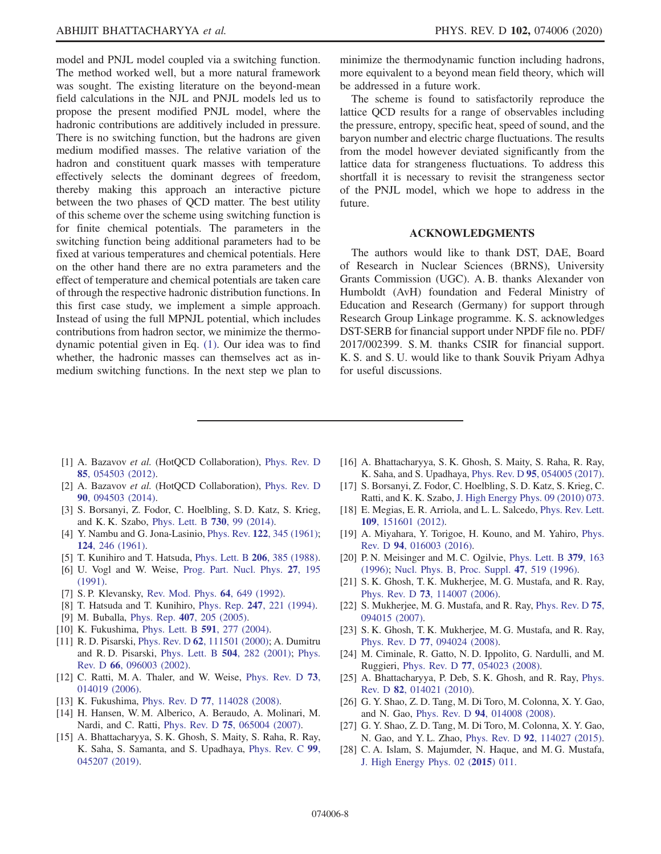model and PNJL model coupled via a switching function. The method worked well, but a more natural framework was sought. The existing literature on the beyond-mean field calculations in the NJL and PNJL models led us to propose the present modified PNJL model, where the hadronic contributions are additively included in pressure. There is no switching function, but the hadrons are given medium modified masses. The relative variation of the hadron and constituent quark masses with temperature effectively selects the dominant degrees of freedom, thereby making this approach an interactive picture between the two phases of QCD matter. The best utility of this scheme over the scheme using switching function is for finite chemical potentials. The parameters in the switching function being additional parameters had to be fixed at various temperatures and chemical potentials. Here on the other hand there are no extra parameters and the effect of temperature and chemical potentials are taken care of through the respective hadronic distribution functions. In this first case study, we implement a simple approach. Instead of using the full MPNJL potential, which includes contributions from hadron sector, we minimize the thermodynamic potential given in Eq. (1). Our idea was to find whether, the hadronic masses can themselves act as inmedium switching functions. In the next step we plan to minimize the thermodynamic function including hadrons, more equivalent to a beyond mean field theory, which will be addressed in a future work.

The scheme is found to satisfactorily reproduce the lattice QCD results for a range of observables including the pressure, entropy, specific heat, speed of sound, and the baryon number and electric charge fluctuations. The results from the model however deviated significantly from the lattice data for strangeness fluctuations. To address this shortfall it is necessary to revisit the strangeness sector of the PNJL model, which we hope to address in the future.

#### ACKNOWLEDGMENTS

The authors would like to thank DST, DAE, Board of Research in Nuclear Sciences (BRNS), University Grants Commission (UGC). A. B. thanks Alexander von Humboldt (AvH) foundation and Federal Ministry of Education and Research (Germany) for support through Research Group Linkage programme. K. S. acknowledges DST-SERB for financial support under NPDF file no. PDF/ 2017/002399. S. M. thanks CSIR for financial support. K. S. and S. U. would like to thank Souvik Priyam Adhya for useful discussions.

- [1] A. Bazavov et al. (HotQCD Collaboration), Phys. Rev. D 85, 054503 (2012).
- [2] A. Bazavov et al. (HotQCD Collaboration), Phys. Rev. D 90, 094503 (2014).
- [3] S. Borsanyi, Z. Fodor, C. Hoelbling, S. D. Katz, S. Krieg, and K. K. Szabo, Phys. Lett. B 730, 99 (2014).
- [4] Y. Nambu and G. Jona-Lasinio, Phys. Rev. 122, 345 (1961); 124, 246 (1961).
- [5] T. Kunihiro and T. Hatsuda, Phys. Lett. B 206, 385 (1988).
- [6] U. Vogl and W. Weise, Prog. Part. Nucl. Phys. 27, 195 (1991).
- [7] S. P. Klevansky, Rev. Mod. Phys. 64, 649 (1992).
- [8] T. Hatsuda and T. Kunihiro, Phys. Rep. 247, 221 (1994).
- [9] M. Buballa, Phys. Rep. 407, 205 (2005).
- [10] K. Fukushima, Phys. Lett. B **591**, 277 (2004).
- [11] R. D. Pisarski, Phys. Rev. D 62, 111501 (2000); A. Dumitru and R. D. Pisarski, Phys. Lett. B 504, 282 (2001); Phys. Rev. D 66, 096003 (2002).
- [12] C. Ratti, M. A. Thaler, and W. Weise, Phys. Rev. D 73, 014019 (2006).
- [13] K. Fukushima, Phys. Rev. D 77, 114028 (2008).
- [14] H. Hansen, W. M. Alberico, A. Beraudo, A. Molinari, M. Nardi, and C. Ratti, Phys. Rev. D 75, 065004 (2007).
- [15] A. Bhattacharyya, S. K. Ghosh, S. Maity, S. Raha, R. Ray, K. Saha, S. Samanta, and S. Upadhaya, Phys. Rev. C 99, 045207 (2019).
- [16] A. Bhattacharyya, S. K. Ghosh, S. Maity, S. Raha, R. Ray, K. Saha, and S. Upadhaya, Phys. Rev. D 95, 054005 (2017).
- [17] S. Borsanyi, Z. Fodor, C. Hoelbling, S. D. Katz, S. Krieg, C. Ratti, and K. K. Szabo, J. High Energy Phys. 09 (2010) 073.
- [18] E. Megias, E. R. Arriola, and L. L. Salcedo, Phys. Rev. Lett. 109, 151601 (2012).
- [19] A. Miyahara, Y. Torigoe, H. Kouno, and M. Yahiro, Phys. Rev. D 94, 016003 (2016).
- [20] P. N. Meisinger and M. C. Ogilvie, Phys. Lett. B 379, 163 (1996); Nucl. Phys. B, Proc. Suppl. 47, 519 (1996).
- [21] S. K. Ghosh, T. K. Mukherjee, M. G. Mustafa, and R. Ray, Phys. Rev. D 73, 114007 (2006).
- [22] S. Mukherjee, M. G. Mustafa, and R. Ray, Phys. Rev. D 75, 094015 (2007).
- [23] S. K. Ghosh, T. K. Mukherjee, M. G. Mustafa, and R. Ray, Phys. Rev. D 77, 094024 (2008).
- [24] M. Ciminale, R. Gatto, N. D. Ippolito, G. Nardulli, and M. Ruggieri, Phys. Rev. D 77, 054023 (2008).
- [25] A. Bhattacharyya, P. Deb, S. K. Ghosh, and R. Ray, Phys. Rev. D 82, 014021 (2010).
- [26] G. Y. Shao, Z. D. Tang, M. Di Toro, M. Colonna, X. Y. Gao, and N. Gao, Phys. Rev. D 94, 014008 (2008).
- [27] G. Y. Shao, Z. D. Tang, M. Di Toro, M. Colonna, X. Y. Gao, N. Gao, and Y. L. Zhao, Phys. Rev. D 92, 114027 (2015).
- [28] C. A. Islam, S. Majumder, N. Haque, and M. G. Mustafa, J. High Energy Phys. 02 (2015) 011.